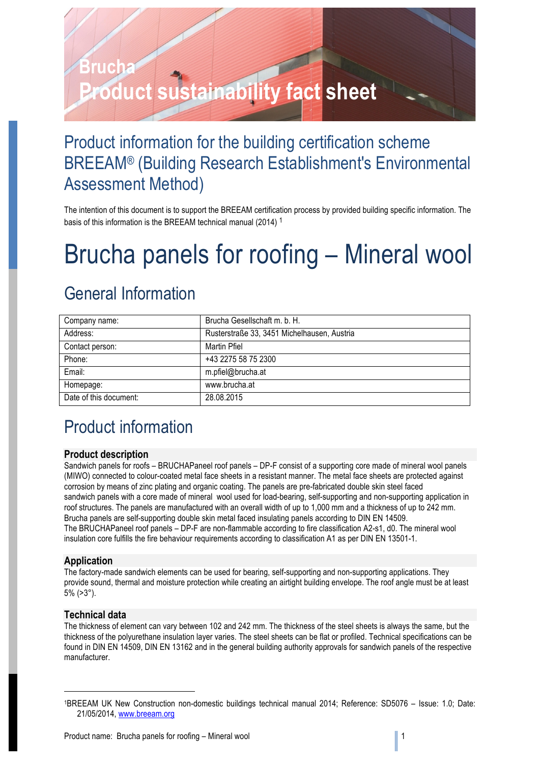### Product information for the building certification scheme BREEAM® (Building Research Establishment's Environmental Assessment Method)

The intention of this document is to support the BREEAM certification process by provided building specific information. The basis of this information is the BREEAM technical manual (2014) <sup>1</sup>

# Brucha panels for roofing – Mineral wool

### General Information

| Company name:          | Brucha Gesellschaft m. b. H.                |
|------------------------|---------------------------------------------|
| Address:               | Rusterstraße 33, 3451 Michelhausen, Austria |
| Contact person:        | Martin Pfiel                                |
| Phone:                 | +43 2275 58 75 2300                         |
| Email:                 | m.pfiel@brucha.at                           |
| Homepage:              | www.brucha.at                               |
| Date of this document: | 28.08.2015                                  |

### Product information

### **Product description**

Sandwich panels for roofs – BRUCHAPaneel roof panels – DP-F consist of a supporting core made of mineral wool panels (MIWO) connected to colour-coated metal face sheets in a resistant manner. The metal face sheets are protected against corrosion by means of zinc plating and organic coating. The panels are pre-fabricated double skin steel faced sandwich panels with a core made of mineral wool used for load-bearing, self-supporting and non-supporting application in roof structures. The panels are manufactured with an overall width of up to 1,000 mm and a thickness of up to 242 mm. Brucha panels are self-supporting double skin metal faced insulating panels according to DIN EN 14509. The BRUCHAPaneel roof panels – DP-F are non-flammable according to fire classification A2-s1, d0. The mineral wool insulation core fulfills the fire behaviour requirements according to classification A1 as per DIN EN 13501-1.

### **Application**

The factory-made sandwich elements can be used for bearing, self-supporting and non-supporting applications. They provide sound, thermal and moisture protection while creating an airtight building envelope. The roof angle must be at least 5% (>3°).

### **Technical data**

1

The thickness of element can vary between 102 and 242 mm. The thickness of the steel sheets is always the same, but the thickness of the polyurethane insulation layer varies. The steel sheets can be flat or profiled. Technical specifications can be found in DIN EN 14509, DIN EN 13162 and in the general building authority approvals for sandwich panels of the respective manufacturer.

<sup>1</sup>BREEAM UK New Construction non-domestic buildings technical manual 2014; Reference: SD5076 – Issue: 1.0; Date: 21/05/2014, www.breeam.org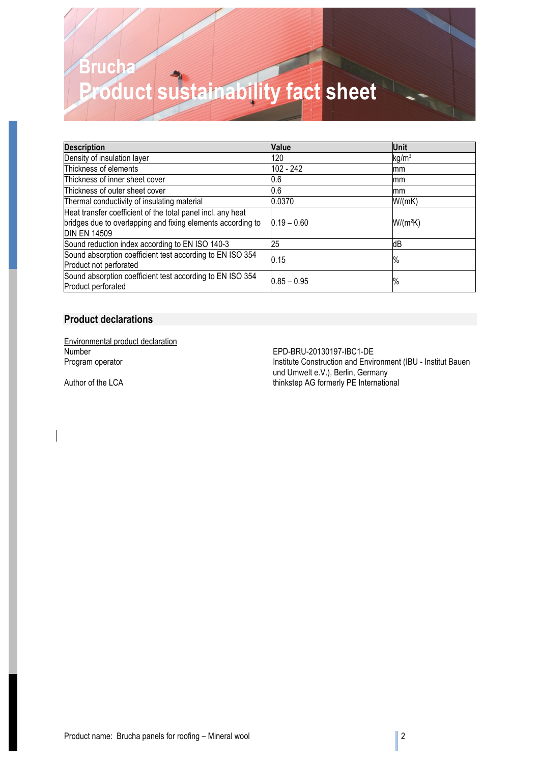| <b>Description</b>                                          | Value         | <b>Unit</b>       |
|-------------------------------------------------------------|---------------|-------------------|
| Density of insulation layer                                 | 120           | kg/m <sup>3</sup> |
| Thickness of elements                                       | 102 - 242     | mm                |
| Thickness of inner sheet cover                              | 0.6           | mm                |
| Thickness of outer sheet cover                              | 0.6           | mm                |
| Thermal conductivity of insulating material                 | 0.0370        | W/(mK)            |
| Heat transfer coefficient of the total panel incl. any heat |               |                   |
| bridges due to overlapping and fixing elements according to | $0.19 - 0.60$ | $W/(m^2K)$        |
| <b>DIN EN 14509</b>                                         |               |                   |
| Sound reduction index according to EN ISO 140-3             | 25            | dВ                |
| Sound absorption coefficient test according to EN ISO 354   | 0.15          | $\%$              |
| Product not perforated                                      |               |                   |
| Sound absorption coefficient test according to EN ISO 354   | $0.85 - 0.95$ | $\%$              |
| Product perforated                                          |               |                   |

### **Product declarations**

**Environmental product declaration**<br>Number

EPD-BRU-20130197-IBC1-DE Program operator **Institute Construction and Environment (IBU - Institut Bauen** und Umwelt e.V.), Berlin, Germany Author of the LCA thinkstep AG formerly PE International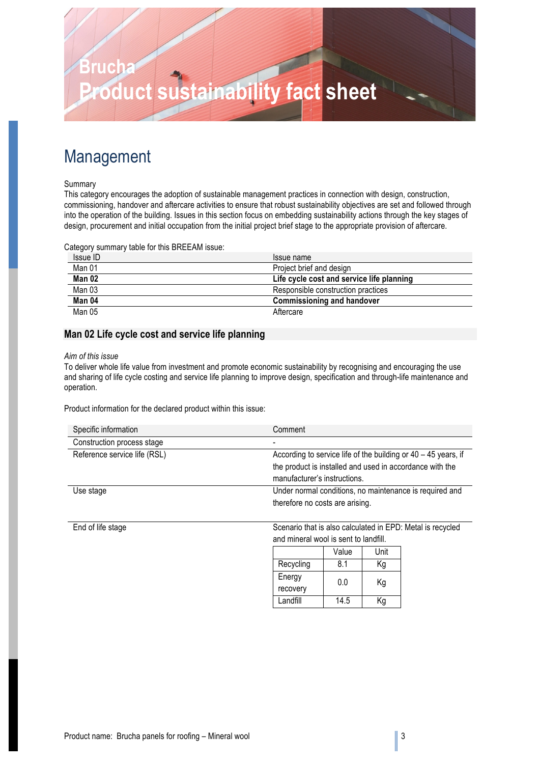### Management

### Summary

This category encourages the adoption of sustainable management practices in connection with design, construction, commissioning, handover and aftercare activities to ensure that robust sustainability objectives are set and followed through into the operation of the building. Issues in this section focus on embedding sustainability actions through the key stages of design, procurement and initial occupation from the initial project brief stage to the appropriate provision of aftercare.

Category summary table for this BREEAM issue:

| Issue ID | Issue name                                |
|----------|-------------------------------------------|
| Man 01   | Project brief and design                  |
| Man 02   | Life cycle cost and service life planning |
| Man 03   | Responsible construction practices        |
| Man 04   | <b>Commissioning and handover</b>         |
| Man 05   | Aftercare                                 |

### **Man 02 Life cycle cost and service life planning**

#### *Aim of this issue*

To deliver whole life value from investment and promote economic sustainability by recognising and encouraging the use and sharing of life cycle costing and service life planning to improve design, specification and through-life maintenance and operation.

Product information for the declared product within this issue:

| Specific information         | Comment                                                          |
|------------------------------|------------------------------------------------------------------|
| Construction process stage   |                                                                  |
| Reference service life (RSL) | According to service life of the building or $40 - 45$ years, if |
|                              | the product is installed and used in accordance with the         |
|                              | manufacturer's instructions.                                     |
| Use stage                    | Under normal conditions, no maintenance is required and          |
|                              | therefore no costs are arising.                                  |

End of life stage Scenario that is also calculated in EPD: Metal is recycled and mineral wool is sent to landfill.

|                    | Value | Unit |
|--------------------|-------|------|
| Recycling          | 8.1   | Κg   |
| Energy<br>recovery | 0.0   | Κg   |
| Landfill           | 14.5  | Κa   |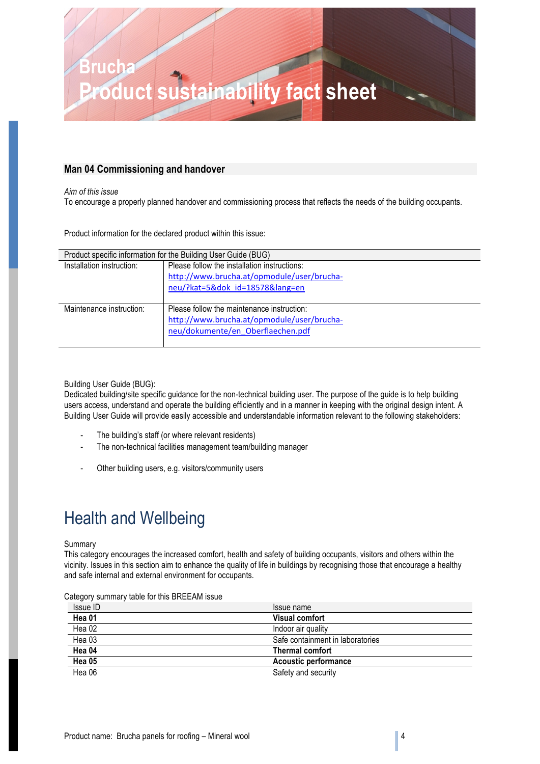### **Man 04 Commissioning and handover**

*Aim of this issue* To encourage a properly planned handover and commissioning process that reflects the needs of the building occupants.

Product information for the declared product within this issue:

| Product specific information for the Building User Guide (BUG) |                                              |  |
|----------------------------------------------------------------|----------------------------------------------|--|
| Installation instruction:                                      | Please follow the installation instructions: |  |
|                                                                | http://www.brucha.at/opmodule/user/brucha-   |  |
|                                                                | neu/?kat=5&dok id=18578⟨=en                  |  |
|                                                                |                                              |  |
| Maintenance instruction:                                       | Please follow the maintenance instruction:   |  |
|                                                                | http://www.brucha.at/opmodule/user/brucha-   |  |
|                                                                | neu/dokumente/en Oberflaechen.pdf            |  |
|                                                                |                                              |  |

### Building User Guide (BUG):

Dedicated building/site specific guidance for the non-technical building user. The purpose of the guide is to help building users access, understand and operate the building efficiently and in a manner in keeping with the original design intent. A Building User Guide will provide easily accessible and understandable information relevant to the following stakeholders:

- The building's staff (or where relevant residents)
- The non-technical facilities management team/building manager
- Other building users, e.g. visitors/community users

### Health and Wellbeing

#### Summary

This category encourages the increased comfort, health and safety of building occupants, visitors and others within the vicinity. Issues in this section aim to enhance the quality of life in buildings by recognising those that encourage a healthy and safe internal and external environment for occupants.

| Category summary table for this BREEAM issue |  |  |
|----------------------------------------------|--|--|
|----------------------------------------------|--|--|

| Issue ID | Issue name                       |
|----------|----------------------------------|
| Hea 01   | <b>Visual comfort</b>            |
| Hea 02   | Indoor air quality               |
| Hea 03   | Safe containment in laboratories |
| Hea 04   | <b>Thermal comfort</b>           |
| Hea 05   | <b>Acoustic performance</b>      |
| Hea 06   | Safety and security              |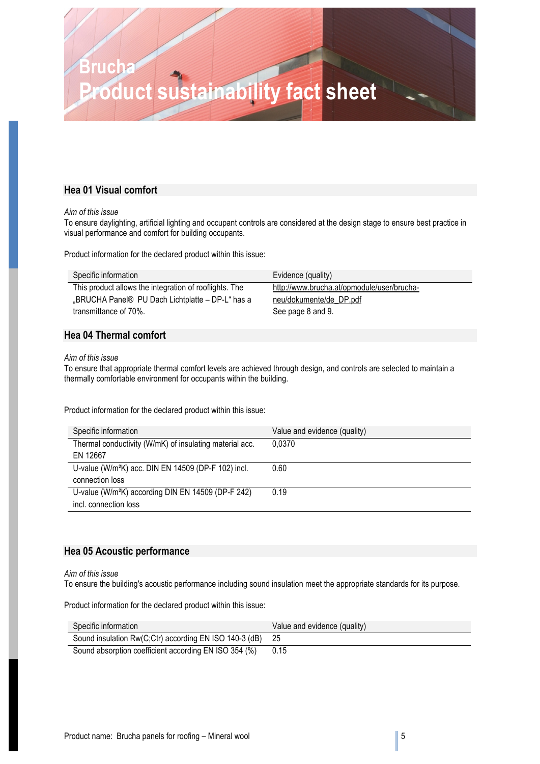### **Hea 01 Visual comfort**

#### *Aim of this issue*

To ensure daylighting, artificial lighting and occupant controls are considered at the design stage to ensure best practice in visual performance and comfort for building occupants.

Product information for the declared product within this issue:

| Specific information                                   | Evidence (quality)                         |
|--------------------------------------------------------|--------------------------------------------|
| This product allows the integration of rooflights. The | http://www.brucha.at/opmodule/user/brucha- |
| "BRUCHA Panel® PU Dach Lichtplatte – DP-L" has a       | neu/dokumente/de DP.pdf                    |
| transmittance of 70%.                                  | See page 8 and 9.                          |

### **Hea 04 Thermal comfort**

#### *Aim of this issue*

To ensure that appropriate thermal comfort levels are achieved through design, and controls are selected to maintain a thermally comfortable environment for occupants within the building.

Product information for the declared product within this issue:

| Specific information                                            | Value and evidence (quality) |
|-----------------------------------------------------------------|------------------------------|
| Thermal conductivity (W/mK) of insulating material acc.         | 0.0370                       |
| EN 12667                                                        |                              |
| U-value (W/m <sup>2</sup> K) acc. DIN EN 14509 (DP-F 102) incl. | 0.60                         |
| connection loss                                                 |                              |
| U-value (W/m <sup>2</sup> K) according DIN EN 14509 (DP-F 242)  | 0.19                         |
| incl. connection loss                                           |                              |

### **Hea 05 Acoustic performance**

*Aim of this issue*

To ensure the building's acoustic performance including sound insulation meet the appropriate standards for its purpose.

Product information for the declared product within this issue:

| Specific information                                      | Value and evidence (quality) |
|-----------------------------------------------------------|------------------------------|
| Sound insulation Rw(C;Ctr) according EN ISO 140-3 (dB) 25 |                              |
| Sound absorption coefficient according EN ISO 354 (%)     | 0.15                         |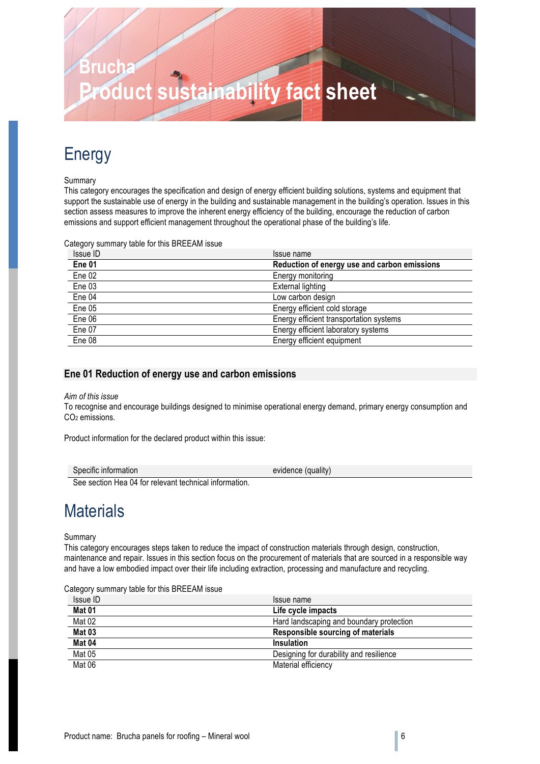### Energy

### Summary

This category encourages the specification and design of energy efficient building solutions, systems and equipment that support the sustainable use of energy in the building and sustainable management in the building's operation. Issues in this section assess measures to improve the inherent energy efficiency of the building, encourage the reduction of carbon emissions and support efficient management throughout the operational phase of the building's life.

Category summary table for this BREEAM issue

| Issue ID | Issue name                                   |
|----------|----------------------------------------------|
| Ene 01   | Reduction of energy use and carbon emissions |
| Ene 02   | Energy monitoring                            |
| Ene 03   | External lighting                            |
| Ene 04   | Low carbon design                            |
| Ene 05   | Energy efficient cold storage                |
| Ene 06   | Energy efficient transportation systems      |
| Ene 07   | Energy efficient laboratory systems          |
| Ene 08   | Energy efficient equipment                   |

### **Ene 01 Reduction of energy use and carbon emissions**

### *Aim of this issue*

To recognise and encourage buildings designed to minimise operational energy demand, primary energy consumption and CO<sub>2</sub> emissions.

Product information for the declared product within this issue:

| Specific information                                                                                        | evidence (quality) |
|-------------------------------------------------------------------------------------------------------------|--------------------|
| $\alpha$ , and $\alpha$ is the $\alpha$ is the set of the set of the set of $\alpha$ is the set of $\alpha$ |                    |

See section Hea 04 for relevant technical information.

### **Materials**

#### Summary

This category encourages steps taken to reduce the impact of construction materials through design, construction, maintenance and repair. Issues in this section focus on the procurement of materials that are sourced in a responsible way and have a low embodied impact over their life including extraction, processing and manufacture and recycling.

Category summary table for this BREEAM issue

| Issue ID | Issue name                               |
|----------|------------------------------------------|
| Mat 01   | Life cycle impacts                       |
| Mat 02   | Hard landscaping and boundary protection |
| Mat 03   | Responsible sourcing of materials        |
| Mat 04   | Insulation                               |
| Mat 05   | Designing for durability and resilience  |
| Mat 06   | Material efficiency                      |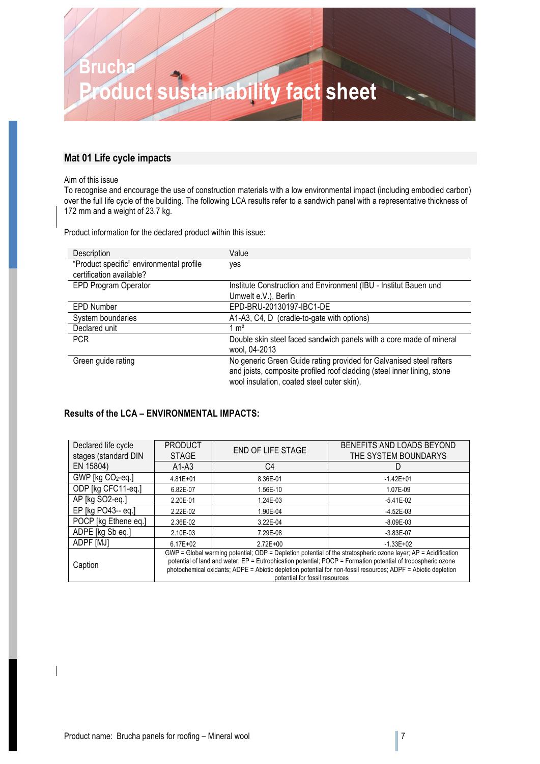

### **Mat 01 Life cycle impacts**

#### Aim of this issue

To recognise and encourage the use of construction materials with a low environmental impact (including embodied carbon) over the full life cycle of the building. The following LCA results refer to a sandwich panel with a representative thickness of 172 mm and a weight of 23.7 kg.

Product information for the declared product within this issue:

| Description                              | Value                                                                                                                                                                                        |
|------------------------------------------|----------------------------------------------------------------------------------------------------------------------------------------------------------------------------------------------|
| "Product specific" environmental profile | yes                                                                                                                                                                                          |
| certification available?                 |                                                                                                                                                                                              |
| EPD Program Operator                     | Institute Construction and Environment (IBU - Institut Bauen und                                                                                                                             |
|                                          | Umwelt e.V.), Berlin                                                                                                                                                                         |
| <b>EPD Number</b>                        | EPD-BRU-20130197-IBC1-DE                                                                                                                                                                     |
| System boundaries                        | A1-A3, C4, D (cradle-to-gate with options)                                                                                                                                                   |
| Declared unit                            | $1 \text{ m}^2$                                                                                                                                                                              |
| <b>PCR</b>                               | Double skin steel faced sandwich panels with a core made of mineral                                                                                                                          |
|                                          | wool, 04-2013                                                                                                                                                                                |
| Green guide rating                       | No generic Green Guide rating provided for Galvanised steel rafters<br>and joists, composite profiled roof cladding (steel inner lining, stone<br>wool insulation, coated steel outer skin). |

### **Results of the LCA – ENVIRONMENTAL IMPACTS:**

| Declared life cycle<br>stages (standard DIN | <b>PRODUCT</b><br><b>STAGE</b>                                                                                                                                                                                                                                                                                                                                                    | <b>END OF LIFE STAGE</b> | BENEFITS AND LOADS BEYOND<br>THE SYSTEM BOUNDARYS |
|---------------------------------------------|-----------------------------------------------------------------------------------------------------------------------------------------------------------------------------------------------------------------------------------------------------------------------------------------------------------------------------------------------------------------------------------|--------------------------|---------------------------------------------------|
| EN 15804)                                   | $A1-A3$                                                                                                                                                                                                                                                                                                                                                                           | C4                       |                                                   |
| GWP [kg CO2-eq.]                            | $4.81E + 01$                                                                                                                                                                                                                                                                                                                                                                      | 8.36E-01                 | $-1.42E + 01$                                     |
| ODP [kg CFC11-eq.]                          | 6.82E-07                                                                                                                                                                                                                                                                                                                                                                          | 1.56E-10                 | 1.07E-09                                          |
| AP [kg SO2-eq.]                             | 2.20E-01                                                                                                                                                                                                                                                                                                                                                                          | 1.24E-03                 | $-5.41E-02$                                       |
| EP [kg PO43-- eq.]                          | 2.22E-02                                                                                                                                                                                                                                                                                                                                                                          | 1.90E-04                 | $-4.52E - 03$                                     |
| POCP [kg Ethene eq.]                        | 2.36E-02                                                                                                                                                                                                                                                                                                                                                                          | 3.22E-04                 | $-8.09E - 03$                                     |
| ADPE [kg Sb eq.]                            | 2.10E-03                                                                                                                                                                                                                                                                                                                                                                          | 7.29E-08                 | $-3.83E-07$                                       |
| ADPF [MJ]                                   | $6.17E + 02$                                                                                                                                                                                                                                                                                                                                                                      | $2.72E + 00$             | $-1.33E + 02$                                     |
| Caption                                     | GWP = Global warming potential; ODP = Depletion potential of the stratospheric ozone layer; AP = Acidification<br>potential of land and water; EP = Eutrophication potential; POCP = Formation potential of tropospheric ozone<br>photochemical oxidants; ADPE = Abiotic depletion potential for non-fossil resources; ADPF = Abiotic depletion<br>potential for fossil resources |                          |                                                   |

 $\overline{\phantom{a}}$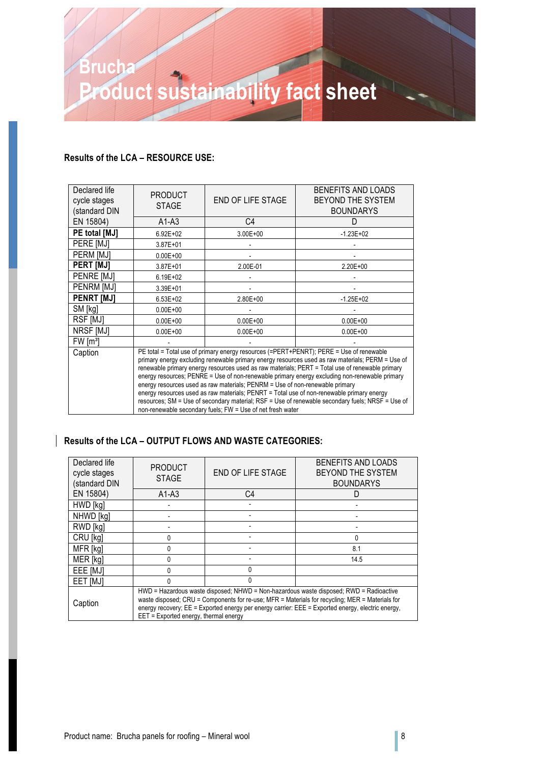### **Results of the LCA – RESOURCE USE:**

| Declared life<br>cycle stages<br>(standard DIN                                                                                                                                                                                                                                                                                                                                                                                                                                                                                                                                                                                                                                                                                                            | <b>PRODUCT</b><br><b>STAGE</b> | <b>END OF LIFE STAGE</b> | BENEFITS AND LOADS<br>BEYOND THE SYSTEM<br><b>BOUNDARYS</b> |
|-----------------------------------------------------------------------------------------------------------------------------------------------------------------------------------------------------------------------------------------------------------------------------------------------------------------------------------------------------------------------------------------------------------------------------------------------------------------------------------------------------------------------------------------------------------------------------------------------------------------------------------------------------------------------------------------------------------------------------------------------------------|--------------------------------|--------------------------|-------------------------------------------------------------|
| EN 15804)                                                                                                                                                                                                                                                                                                                                                                                                                                                                                                                                                                                                                                                                                                                                                 | $A1-A3$                        | C4                       | D                                                           |
| PE total [MJ]                                                                                                                                                                                                                                                                                                                                                                                                                                                                                                                                                                                                                                                                                                                                             | $6.92E + 02$                   | $3.00E + 00$             | $-1.23E + 02$                                               |
| PERE [MJ]                                                                                                                                                                                                                                                                                                                                                                                                                                                                                                                                                                                                                                                                                                                                                 | $3.87E + 01$                   |                          |                                                             |
| PERM [MJ]                                                                                                                                                                                                                                                                                                                                                                                                                                                                                                                                                                                                                                                                                                                                                 | $0.00E + 00$                   |                          |                                                             |
| <b>PERT [MJ]</b>                                                                                                                                                                                                                                                                                                                                                                                                                                                                                                                                                                                                                                                                                                                                          | 3.87E+01                       | 2.00E-01                 | $2.20E + 00$                                                |
| PENRE [MJ]                                                                                                                                                                                                                                                                                                                                                                                                                                                                                                                                                                                                                                                                                                                                                | $6.19E + 02$                   |                          |                                                             |
| PENRM [MJ]                                                                                                                                                                                                                                                                                                                                                                                                                                                                                                                                                                                                                                                                                                                                                | 3.39E+01                       |                          |                                                             |
| <b>PENRT [MJ]</b>                                                                                                                                                                                                                                                                                                                                                                                                                                                                                                                                                                                                                                                                                                                                         | $6.53E + 02$                   | 2.80E+00                 | $-1.25E + 02$                                               |
| SM [kg]                                                                                                                                                                                                                                                                                                                                                                                                                                                                                                                                                                                                                                                                                                                                                   | $0.00E + 00$                   |                          |                                                             |
| RSF [MJ]                                                                                                                                                                                                                                                                                                                                                                                                                                                                                                                                                                                                                                                                                                                                                  | $0.00E + 00$                   | $0.00E + 00$             | $0.00E + 00$                                                |
| NRSF [MJ]                                                                                                                                                                                                                                                                                                                                                                                                                                                                                                                                                                                                                                                                                                                                                 | $0.00E + 00$                   | $0.00E + 00$             | $0.00E + 00$                                                |
| FW [m <sup>3</sup> ]                                                                                                                                                                                                                                                                                                                                                                                                                                                                                                                                                                                                                                                                                                                                      |                                |                          |                                                             |
| PE total = Total use of primary energy resources (=PERT+PENRT); PERE = Use of renewable<br>Caption<br>primary energy excluding renewable primary energy resources used as raw materials; PERM = Use of<br>renewable primary energy resources used as raw materials; PERT = Total use of renewable primary<br>energy resources; PENRE = Use of non-renewable primary energy excluding non-renewable primary<br>energy resources used as raw materials; PENRM = Use of non-renewable primary<br>energy resources used as raw materials; PENRT = Total use of non-renewable primary energy<br>resources; SM = Use of secondary material; RSF = Use of renewable secondary fuels; NRSF = Use of<br>non-renewable secondary fuels; FW = Use of net fresh water |                                |                          |                                                             |

### **Results of the LCA – OUTPUT FLOWS AND WASTE CATEGORIES:**

| Declared life<br>cycle stages<br>(standard DIN | <b>PRODUCT</b><br><b>STAGE</b>                                                                                                                                                                                                                                                                                                          | END OF LIFE STAGE | BENEFITS AND LOADS<br>BEYOND THE SYSTEM<br><b>BOUNDARYS</b> |
|------------------------------------------------|-----------------------------------------------------------------------------------------------------------------------------------------------------------------------------------------------------------------------------------------------------------------------------------------------------------------------------------------|-------------------|-------------------------------------------------------------|
| EN 15804)                                      | $A1-A3$                                                                                                                                                                                                                                                                                                                                 | C4                |                                                             |
| HWD [kg]                                       |                                                                                                                                                                                                                                                                                                                                         |                   |                                                             |
| NHWD [kg]                                      |                                                                                                                                                                                                                                                                                                                                         |                   |                                                             |
| RWD [kg]                                       |                                                                                                                                                                                                                                                                                                                                         |                   |                                                             |
| CRU [kg]                                       | U                                                                                                                                                                                                                                                                                                                                       |                   | 0                                                           |
| MFR [kg]                                       | U                                                                                                                                                                                                                                                                                                                                       |                   | 8.1                                                         |
| MER [kg]                                       | N                                                                                                                                                                                                                                                                                                                                       |                   | 14.5                                                        |
| EEE [MJ]                                       | N                                                                                                                                                                                                                                                                                                                                       |                   |                                                             |
| EET [MJ]                                       | U                                                                                                                                                                                                                                                                                                                                       | U                 |                                                             |
| Caption                                        | HWD = Hazardous waste disposed; NHWD = Non-hazardous waste disposed; RWD = Radioactive<br>waste disposed; CRU = Components for re-use; MFR = Materials for recycling; MER = Materials for<br>energy recovery; EE = Exported energy per energy carrier: EEE = Exported energy, electric energy,<br>EET = Exported energy, thermal energy |                   |                                                             |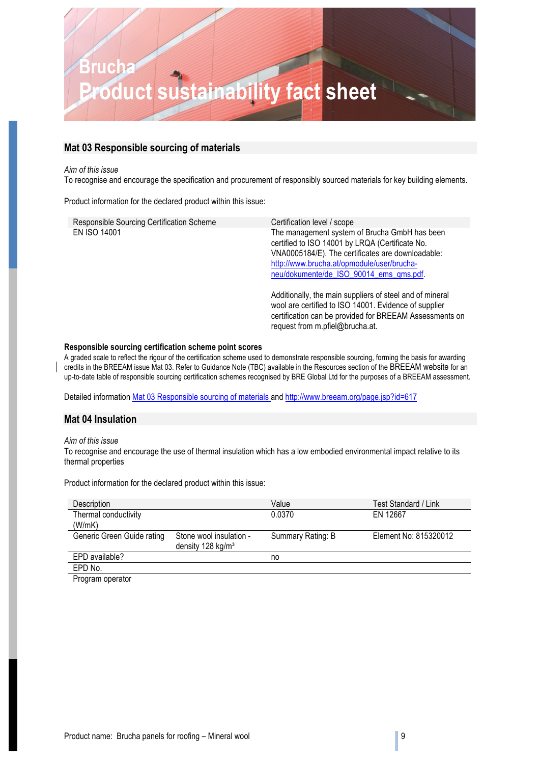### **Mat 03 Responsible sourcing of materials**

#### *Aim of this issue*

To recognise and encourage the specification and procurement of responsibly sourced materials for key building elements.

Product information for the declared product within this issue:

| Responsible Sourcing Certification Scheme | Certification level / scope                                                                                                                                                                                                                    |
|-------------------------------------------|------------------------------------------------------------------------------------------------------------------------------------------------------------------------------------------------------------------------------------------------|
| <b>EN ISO 14001</b>                       | The management system of Brucha GmbH has been<br>certified to ISO 14001 by LRQA (Certificate No.<br>VNA0005184/E). The certificates are downloadable:<br>http://www.brucha.at/opmodule/user/brucha-<br>neu/dokumente/de_ISO_90014_ems_qms.pdf. |
|                                           | Additionally, the main suppliers of steel and of mineral<br>wool are certified to ISO 14001. Evidence of supplier<br>certification can be provided for BREEAM Assessments on<br>request from m.pfiel@brucha.at.                                |

#### **Responsible sourcing certification scheme point scores**

A graded scale to reflect the rigour of the certification scheme used to demonstrate responsible sourcing, forming the basis for awarding credits in the BREEAM issue Mat 03. Refer to Guidance Note (TBC) available in the Resources section of the BREEAM website for an up-to-date table of responsible sourcing certification schemes recognised by BRE Global Ltd for the purposes of a BREEAM assessment.

Detailed information Mat 03 Responsible sourcing of materials and http://www.breeam.org/page.jsp?id=617

### **Mat 04 Insulation**

### *Aim of this issue*

To recognise and encourage the use of thermal insulation which has a low embodied environmental impact relative to its thermal properties

Product information for the declared product within this issue:

| Description                |                               | Value             | Test Standard / Link  |
|----------------------------|-------------------------------|-------------------|-----------------------|
| Thermal conductivity       |                               | 0.0370            | EN 12667              |
| (W/mK)                     |                               |                   |                       |
| Generic Green Guide rating | Stone wool insulation -       | Summary Rating: B | Element No: 815320012 |
|                            | density 128 kg/m <sup>3</sup> |                   |                       |
| EPD available?             |                               | no                |                       |
| EPD No.                    |                               |                   |                       |
| Drogram operator           |                               |                   |                       |

Program operator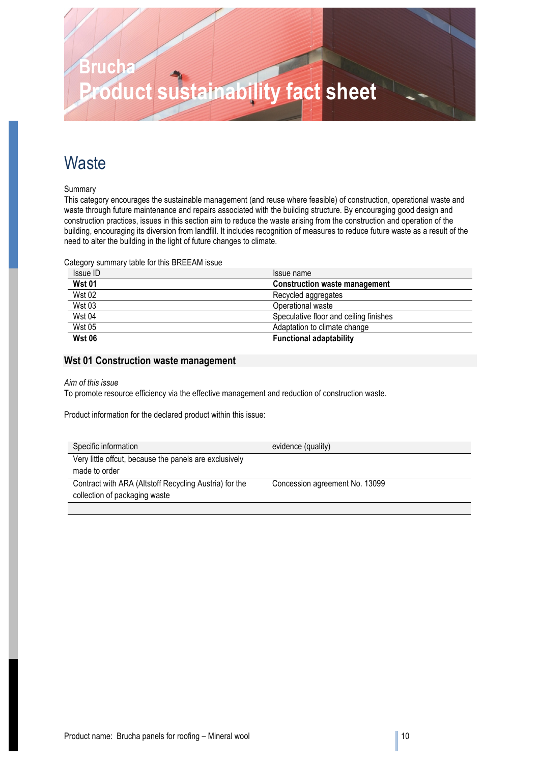### **Waste**

Summary

This category encourages the sustainable management (and reuse where feasible) of construction, operational waste and waste through future maintenance and repairs associated with the building structure. By encouraging good design and construction practices, issues in this section aim to reduce the waste arising from the construction and operation of the building, encouraging its diversion from landfill. It includes recognition of measures to reduce future waste as a result of the need to alter the building in the light of future changes to climate.

Category summary table for this BREEAM issue

| Issue ID      | Issue name                             |
|---------------|----------------------------------------|
| <b>Wst 01</b> | <b>Construction waste management</b>   |
| <b>Wst 02</b> | Recycled aggregates                    |
| <b>Wst 03</b> | Operational waste                      |
| <b>Wst 04</b> | Speculative floor and ceiling finishes |
| <b>Wst 05</b> | Adaptation to climate change           |
| <b>Wst 06</b> | <b>Functional adaptability</b>         |

### **Wst 01 Construction waste management**

### *Aim of this issue*

To promote resource efficiency via the effective management and reduction of construction waste.

Product information for the declared product within this issue:

| Specific information                                   | evidence (quality)             |
|--------------------------------------------------------|--------------------------------|
| Very little offcut, because the panels are exclusively |                                |
| made to order                                          |                                |
| Contract with ARA (Altstoff Recycling Austria) for the | Concession agreement No. 13099 |
| collection of packaging waste                          |                                |
|                                                        |                                |